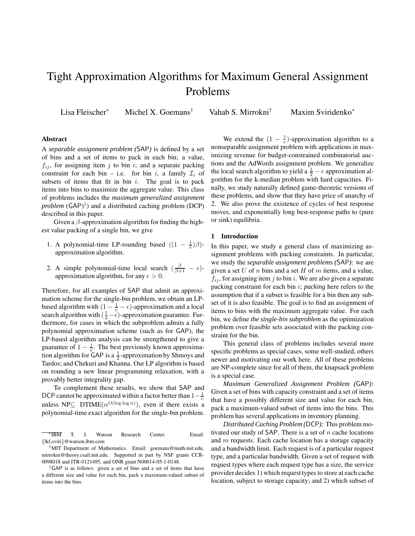# Tight Approximation Algorithms for Maximum General Assignment Problems

Lisa Fleischer<sup>∗</sup> Michel X. Goemans<sup>†</sup> Vahab S. Mirrokni<sup>†</sup>

Maxim Sviridenko\*

#### **Abstract**

A *separable assignment problem (*SAP*)* is defined by a set of bins and a set of items to pack in each bin; a value,  $f_{ij}$ , for assigning item j to bin i; and a separate packing constraint for each bin – i.e. for bin i, a family  $\mathcal{I}_i$  of subsets of items that fit in bin  $i$ . The goal is to pack items into bins to maximize the aggregate value. This class of problems includes the *maximum generalized assignment problem* (GAP) 1 ) and a distributed caching problem (DCP) described in this paper.

Given a  $\beta$ -approximation algorithm for finding the highest value packing of a single bin, we give

- 1. A polynomial-time LP-rounding based  $((1 \frac{1}{e})\beta)$ approximation algorithm.
- 2. A simple polynomial-time local search  $\left(\frac{\beta}{\beta+1} \epsilon\right)$ approximation algorithm, for any  $\epsilon > 0$ .

Therefore, for all examples of SAP that admit an approximation scheme for the single-bin problem, we obtain an LPbased algorithm with  $(1 - \frac{1}{e} - \epsilon)$ -approximation and a local search algorithm with  $\left(\frac{1}{2} - \epsilon\right)$ -approximation guarantee. Furthermore, for cases in which the subproblem admits a fully polynomial approximation scheme (such as for GAP), the LP-based algorithm analysis can be strengthened to give a guarantee of  $1 - \frac{1}{e}$ . The best previously known approximation algorithm for  $GAP$  is a  $\frac{1}{2}$ -approximation by Shmoys and Tardos; and Chekuri and Khanna. Our LP algorithm is based on rounding a new linear programming relaxation, with a provably better integrality gap.

To complement these results, we show that SAP and DCP cannot be approximated within a factor better than  $1-\frac{1}{e}$ unless NP $\subseteq$  DTIME $(n^{O(\log \log n)})$ , even if there exists a polynomial-time exact algorithm for the single-bin problem.

We extend the  $(1 - \frac{1}{e})$ -approximation algorithm to a nonseparable assignment problem with applications in maximizing revenue for budget-constrained combinatorial auctions and the AdWords assignment problem. We generalize the local search algorithm to yield a  $\frac{1}{2} - \epsilon$  approximation algorithm for the k-median problem with hard capacities. Finally, we study naturally defined game-theoretic versions of these problems, and show that they have price of anarchy of 2. We also prove the existence of cycles of best response moves, and exponentially long best-response paths to (pure or sink) equilibria.

## **1 Introduction**

In this paper, we study a general class of maximizing assignment problems with packing constraints. In particular, we study the *separable assignment problems (*SAP*)*: we are given a set  $U$  of  $n$  bins and a set  $H$  of  $m$  items, and a value,  $f_{ij}$ , for assigning item j to bin i. We are also given a separate packing constraint for each bin i; *packing* here refers to the assumption that if a subset is feasible for a bin then any subset of it is also feasible. The goal is to find an assignment of items to bins with the maximum aggregate value. For each bin, we define *the single-bin subproblem* as the optimization problem over feasible sets associated with the packing constraint for the bin.

This general class of problems includes several more specific problems as special cases, some well-studied, others newer and motivating our work here. All of these problems are NP-complete since for all of them, the knapsack problem is a special case.

*Maximum Generalized Assignment Problem (*GAP*):* Given a set of bins with capacity constraint and a set of items that have a possibly different size and value for each bin, pack a maximum-valued subset of items into the bins. This problem has several applications in inventory planning.

*Distributed Caching Problem (*DCP*):* This problem motivated our study of SAP. There is a set of  $n$  cache locations and m requests. Each cache location has a storage capacity and a bandwidth limit. Each request is of a particular request type, and a particular bandwidth. Given a set of request with request types where each request type has a size, the service provider decides 1) which request types to store at each cache location, subject to storage capacity; and 2) which subset of

<sup>∗</sup> T. J. Watson Research Center. Email: {lkf,sviri}@watson.ibm.com

<sup>†</sup>MIT Department of Mathematics. Email: goemans@math.mit.edu, mirrokni@theory.csail.mit.edu. Supported in part by NSF grants CCR-0098018 and ITR-0121495, and ONR grant N00014-05-1-0148.

<sup>&</sup>lt;sup>1</sup>GAP is as follows: given a set of bins and a set of items that have a different size and value for each bin, pack a maximum-valued subset of items into the bins.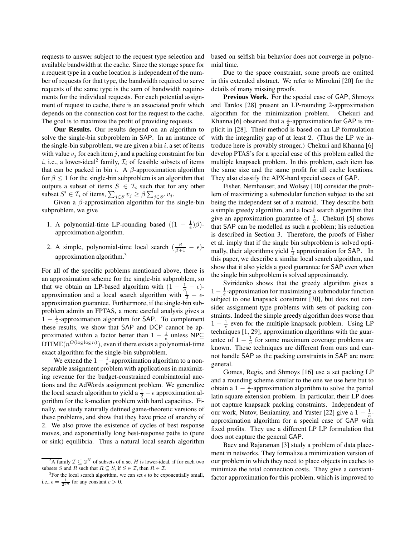requests to answer subject to the request type selection and available bandwidth at the cache. Since the storage space for a request type in a cache location is independent of the number of requests for that type, the bandwidth required to serve requests of the same type is the sum of bandwidth requirements for the individual requests. For each potential assignment of request to cache, there is an associated profit which depends on the connection cost for the request to the cache. The goal is to maximize the profit of providing requests.

**Our Results.** Our results depend on an algorithm to solve the single-bin subproblem in SAP. In an instance of the single-bin subproblem, we are given a bin  $i$ , a set of items with value  $v_j$  for each item j, and a packing constraint for bin i, i.e., a lower-ideal<sup>2</sup> family,  $\mathcal{I}_i$  of feasible subsets of items that can be packed in bin i. A  $\beta$ -approximation algorithm for  $\beta \leq 1$  for the single-bin subproblem is an algorithm that outputs a subset of items  $S \in \mathcal{I}_i$  such that for any other subset  $S' \in \mathcal{I}_i$  of items,  $\sum_{j \in S} v_j \ge \beta \sum_{j \in S'} v_j$ .

Given a  $\beta$ -approximation algorithm for the single-bin subproblem, we give

- 1. A polynomial-time LP-rounding based  $((1 \frac{1}{e})\beta)$ approximation algorithm.
- 2. A simple, polynomial-time local search  $\left(\frac{\beta}{\beta+1} \epsilon\right)$ approximation algorithm.<sup>3</sup>

For all of the specific problems mentioned above, there is an approximation scheme for the single-bin subproblem, so that we obtain an LP-based algorithm with  $(1 - \frac{1}{e_1} - \epsilon)$ approximation and a local search algorithm with  $\frac{1}{2} - \epsilon$ approximation guarantee. Furthermore, if the single-bin subproblem admits an FPTAS, a more careful analysis gives a  $1 - \frac{1}{e}$ -approximation algorithm for SAP. To complement these results, we show that SAP and DCP cannot be approximated within a factor better than  $1 - \frac{1}{e}$  unless NP⊆ DTIME $(n^{O(\log \log n)})$ , even if there exists a polynomial-time exact algorithm for the single-bin subproblem.

We extend the  $1 - \frac{1}{e}$ -approximation algorithm to a nonseparable assignment problem with applications in maximizing revenue for the budget-constrained combinatorial auctions and the AdWords assignment problem. We generalize the local search algorithm to yield a  $\frac{1}{2} - \epsilon$  approximation algorithm for the k-median problem with hard capacities. Finally, we study naturally defined game-theoretic versions of these problems, and show that they have price of anarchy of 2. We also prove the existence of cycles of best response moves, and exponentially long best-response paths to (pure or sink) equilibria. Thus a natural local search algorithm based on selfish bin behavior does not converge in polynomial time.

Due to the space constraint, some proofs are omitted in this extended abstract. We refer to Mirrokni [20] for the details of many missing proofs.

**Previous Work.** For the special case of GAP, Shmoys and Tardos [28] present an LP-rounding 2-approximation algorithm for the minimization problem. Chekuri and Khanna [6] observed that a  $\frac{1}{2}$ -approximation for GAP is implicit in [28]. Their method is based on an LP formulation with the integrality gap of at least 2. (Thus the LP we introduce here is provably stronger.) Chekuri and Khanna [6] develop PTAS's for a special case of this problem called the multiple knapsack problem. In this problem, each item has the same size and the same profit for all cache locations. They also classify the APX-hard special cases of GAP.

Fisher, Nemhauser, and Wolsey [10] consider the problem of maximizing a submodular function subject to the set being the independent set of a matroid. They describe both a simple greedy algorithm, and a local search algorithm that give an approximation guarantee of  $\frac{1}{2}$ . Chekuri [5] shows that SAP can be modelled as such a problem; his reduction is described in Section 3. Therefore, the proofs of Fisher et al. imply that if the single bin subproblem is solved optimally, their algorithms yield  $\frac{1}{2}$  approximation for SAP. In this paper, we describe a similar local search algorithm, and show that it also yields a good guarantee for SAP even when the single bin subproblem is solved approximately.

Sviridenko shows that the greedy algorithm gives a 1 –  $\frac{1}{e}$ -approximation for maximizing a submodular function subject to one knapsack constraint [30], but does not consider assignment type problems with sets of packing constraints. Indeed the simple greedy algorithm does worse than  $1 - \frac{1}{e}$  even for the multiple knapsack problem. Using LP techniques [1, 29], approximation algorithms with the guarantee of  $1 - \frac{1}{e}$  for some maximum coverage problems are known. These techniques are different from ours and cannot handle SAP as the packing constraints in SAP are more general.

Gomes, Regis, and Shmoys [16] use a set packing LP and a rounding scheme similar to the one we use here but to obtain a  $1 - \frac{1}{e}$ -approximation algorithm to solve the partial latin square extension problem. In particular, their LP does not capture knapsack packing constraints. Independent of our work, Nutov, Beniaminy, and Yuster [22] give a  $1 - \frac{1}{e}$ approximation algorithm for a special case of GAP with fixed profits. They use a different LP LP formulation that does not capture the general GAP.

Baev and Rajaraman [3] study a problem of data placement in networks. They formalize a minimization version of our problem in which they need to place objects in caches to minimize the total connection costs. They give a constantfactor approximation for this problem, which is improved to

 $^{2}A$  family  $\mathcal{I} \subseteq 2^{H}$  of subsets of a set H is lower-ideal, if for each two subsets S and R such that  $R \subseteq S$ , if  $S \in \mathcal{I}$ , then  $R \in \mathcal{I}$ .

<sup>&</sup>lt;sup>3</sup>For the local search algorithm, we can set  $\epsilon$  to be exponentially small, i.e.,  $\epsilon = \frac{1}{2^{cn}}$  for any constant  $c > 0$ .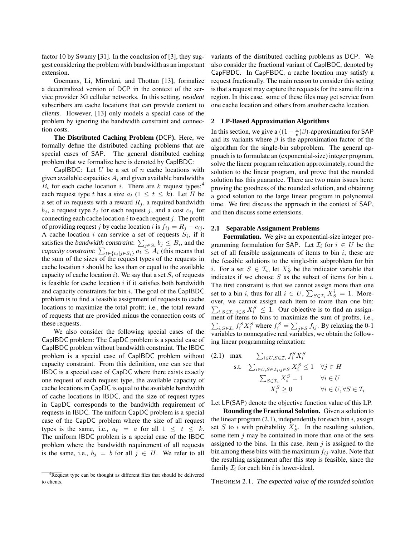factor 10 by Swamy [31]. In the conclusion of [3], they suggest considering the problem with bandwidth as an important extension.

Goemans, Li, Mirrokni, and Thottan [13], formalize a decentralized version of DCP in the context of the service provider 3G cellular networks. In this setting, *resident* subscribers are cache locations that can provide content to *clients*. However, [13] only models a special case of the problem by ignoring the bandwidth constraint and connection costs.

**The Distributed Caching Problem (**DCP**).** Here, we formally define the distributed caching problems that are special cases of SAP. The general distributed caching problem that we formalize here is denoted by CapIBDC:

CapIBDC: Let  $U$  be a set of  $n$  cache locations with given available capacities  $A_i$  and given available bandwidths  $B_i$  for each cache location i. There are k request types;<sup>4</sup> each request type t has a size  $a_t$  (1  $\leq t \leq k$ ). Let H be a set of m requests with a reward  $R_j$ , a required bandwidth  $b_j$ , a request type  $t_j$  for each request j, and a cost  $c_{ij}$  for connecting each cache location  $i$  to each request  $j$ . The profit of providing request j by cache location i is  $f_{ij} = R_j - c_{ij}$ . A cache location i can service a set of requests  $S_i$ , if it satisfies the *bandwidth constraint*:  $\sum_{j \in S_i} b_j \leq B_i$ , and the *capacity constraint*:  $\sum_{t \in \{t_j | j \in S_i\}} a_t \leq A_i$  (this means that the sum of the sizes of the request types of the requests in cache location  $i$  should be less than or equal to the available capacity of cache location i). We say that a set  $S_i$  of requests is feasible for cache location  $i$  if it satisfies both bandwidth and capacity constraints for bin  $i$ . The goal of the CapIBDC problem is to find a feasible assignment of requests to cache locations to maximize the total profit; i.e., the total reward of requests that are provided minus the connection costs of these requests.

We also consider the following special cases of the CapIBDC problem: The CapDC problem is a special case of CapIBDC problem without bandwidth constraint. The IBDC problem is a special case of CapIBDC problem without capacity constraint. From this definition, one can see that IBDC is a special case of CapDC where there exists exactly one request of each request type, the available capacity of cache locationsin CapDC is equal to the available bandwidth of cache locations in IBDC, and the size of request types in CapDC corresponds to the bandwidth requirement of requests in IBDC. The uniform CapDC problem is a special case of the CapDC problem where the size of all request types is the same, i.e.,  $a_t = a$  for all  $1 \leq t \leq k$ . The uniform IBDC problem is a special case of the IBDC problem where the bandwidth requirement of all requests is the same, i.e.,  $b_j = b$  for all  $j \in H$ . We refer to all

variants of the distributed caching problems as DCP. We also consider the fractional variant of CapIBDC, denoted by CapFBDC. In CapFBDC, a cache location may satisfy a request fractionally. The main reason to consider this setting is that a request may capture the requests for the same file in a region. In this case, some of these files may get service from one cache location and others from another cache location.

#### **2 LP-Based Approximation Algorithms**

In this section, we give a  $((1 - \frac{1}{e})\beta)$ -approximation for SAP and its variants where  $\beta$  is the approximation factor of the algorithm for the single-bin subproblem. The general approach is to formulate an (exponential-size) integer program, solve the linear program relaxation approximately, round the solution to the linear program, and prove that the rounded solution has this guarantee. There are two main issues here: proving the goodness of the rounded solution, and obtaining a good solution to the large linear program in polynomial time. We first discuss the approach in the context of SAP, and then discuss some extensions.

## **2.1 Separable Assignment Problems**

**Formulation.** We give an exponential-size integer programming formulation for SAP. Let  $\mathcal{I}_i$  for  $i \in U$  be the set of all feasible assignments of items to bin  $i$ ; these are the feasible solutions to the single-bin subproblem for bin *i*. For a set  $S \in \mathcal{I}_i$ , let  $X_S^i$  be the indicator variable that indicates if we choose  $S$  as the subset of items for bin  $i$ . The first constraint is that we cannot assign more than one set to a bin *i*, thus for all  $i \in U$ ,  $\sum_{S \in \mathcal{I}_i} X_S^i = 1$ . Moreo ver, we cannot assign each item to more than one bin:  $\sum_{i,S \in \mathcal{I}_i:j \in S} X_i^S \leq 1$ . Our objective is to find an assignment of items to bins to maximize the sum of profits, i.e.,  $\sum_{i,S\in\mathcal{I}_i} f_i^S X_i^S$  where  $f_i^S = \sum_{j\in S} f_{ij}$ . By relaxing the 0-1 variables to nonnegative real variables, we obtain the following linear programming relaxation:

(2.1) max 
$$
\sum_{i \in U, S \in \mathcal{I}_i} f_i^S X_i^S
$$
  
s.t. 
$$
\sum_{i \in U, S \in \mathcal{I}_i: j \in S} X_i^S \le 1 \quad \forall j \in H
$$

$$
\sum_{S \in \mathcal{I}_i} X_i^S = 1 \qquad \forall i \in U
$$

$$
X_i^S \ge 0 \qquad \forall i \in U, \forall S \in \mathcal{I}_i
$$

Let LP(SAP) denote the objective function value of this LP.

**Rounding the Fractional Solution.** Given a solution to the linear program  $(2.1)$ , independently for each bin i, assign set S to i with probability  $X_S^i$ . In the resulting solution, some item  $j$  may be contained in more than one of the sets assigned to the bins. In this case, item  $j$  is assigned to the bin among these bins with the maximum  $f_{ij}$ -value. Note that the resulting assignment after this step is feasible, since the family  $\mathcal{I}_i$  for each bin i is lower-ideal.

THEOREM 2.1. *The expected value of the rounded solution*

<sup>&</sup>lt;sup>4</sup>Request type can be thought as different files that should be delivered to clients.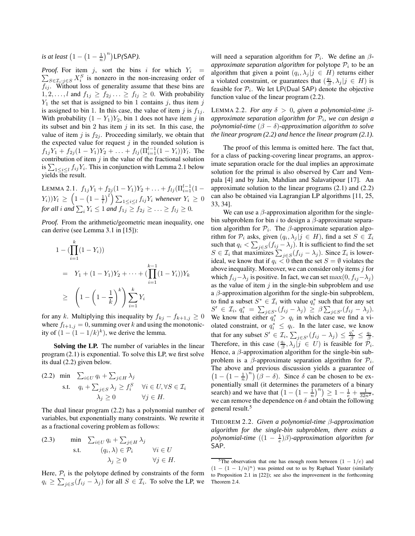*is at least*  $(1 - (1 - \frac{1}{n})^n)$  LP*(*SAP*)*.

 $\sum_{S \in \mathcal{I}_i:j \in S} X_i^S$  is nonzero in the non-increasing order of *Proof.* For item j, sort the bins i for which  $Y_i$  =  $f_{ij}$ . Without loss of generality assume that these bins are  $1, 2, \ldots, l$  and  $f_{1j} \geq f_{2j} \ldots \geq f_{lj} \geq 0$ . With probability  $Y_1$  the set that is assigned to bin 1 contains j, thus item j is assigned to bin 1. In this case, the value of item j is  $f_{1i}$ . With probability  $(1 - Y_1)Y_2$ , bin 1 does not have item j in its subset and bin 2 has item  $j$  in its set. In this case, the value of item j is  $f_{2i}$ . Proceeding similarly, we obtain that the expected value for request  $j$  in the rounded solution is  $f_{1j}Y_1 + f_{2j}(1-Y_1)Y_2 + \ldots + f_{lj}(\Pi_{i=1}^{l-1}(1-Y_i))Y_l$ . The contribution of item  $j$  in the value of the fractional solution is  $\sum_{1 \leq i \leq l} f_{ij} Y_i$ . This in conjunction with Lemma 2.1 below yields the result.

LEMMA 2.1.  $f_{1j}Y_1 + f_{2j}(1-Y_1)Y_2 + \ldots + f_{lj}(\Pi_{i=1}^{l-1}(1-\Pi_i))$  $(Y_i)$ ) $Y_l \, \geq \, \left( 1 - \left( 1 - \frac{1}{l} \right)^l \right) \sum_{1 \leq i \leq l} f_{ij} Y_i$  whenever  $Y_i \, \geq \, 0$ for all i and  $\sum_i Y_i \leq 1$  and  $f_{1j} \geq f_{2j} \geq \ldots \geq f_{lj} \geq 0$ .

*Proof.* From the arithmetic/geometric mean inequality, one can derive (see Lemma 3.1 in [15]):

$$
1 - (\prod_{i=1}^{k} (1 - Y_i))
$$
  
=  $Y_1 + (1 - Y_1)Y_2 + \dots + (\prod_{i=1}^{k-1} (1 - Y_i))Y_k$   

$$
\geq \left(1 - \left(1 - \frac{1}{k}\right)^k\right) \sum_{i=1}^{k} Y_i
$$

for any k. Multiplying this inequality by  $f_{kj} - f_{k+1,j} \geq 0$ where  $f_{l+1,j} = 0$ , summing over k and using the monotonicity of  $(1 - (1 - 1/k)^k)$ , we derive the lemma.

**Solving the LP.** The number of variables in the linear program (2.1) is exponential. To solve this LP, we first solve its dual (2.2) given below.

(2.2) min 
$$
\sum_{i \in U} q_i + \sum_{j \in H} \lambda_j
$$
  
s.t. 
$$
q_i + \sum_{j \in S} \lambda_j \ge f_i^S \quad \forall i \in U, \forall S \in \mathcal{I}_i
$$

$$
\lambda_j \ge 0 \qquad \forall j \in H.
$$

The dual linear program (2.2) has a polynomial number of variables, but exponentially many constraints. We rewrite it as a fractional covering problem as follows:

(2.3) min 
$$
\sum_{i \in U} q_i + \sum_{j \in H} \lambda_j
$$
  
s.t.  $(q_i, \lambda) \in \mathcal{P}_i$   $\forall i \in U$   
 $\lambda_j \geq 0$   $\forall j \in H$ .

Here,  $P_i$  is the polytope defined by constraints of the form  $q_i \ge \sum_{j \in S} (f_{ij} - \lambda_j)$  for all  $S \in \mathcal{I}_i$ . To solve the LP, we

will need a separation algorithm for  $P_i$ . We define an  $\beta$ *approximate separation algorithm* for polytope  $P_i$  to be an algorithm that given a point  $(q_i, \lambda_j | j \in H)$  returns either a violated constraint, or guarantees that  $(\frac{q_i}{\beta}, \lambda_j | j \in H)$  is feasible for  $P_i$ . We let LP(Dual SAP) denote the objective function value of the linear program (2.2).

LEMMA 2.2. *For any*  $\delta > 0$ , *given a polynomial-time*  $\beta$ *approximate separation algorithm for* P<sup>i</sup> *, we can design a polynomial-time*  $(\beta - \delta)$ -*approximation algorithm to solve the linear program (2.2) and hence the linear program (2.1).*

The proof of this lemma is omitted here. The fact that, for a class of packing-covering linear programs, an approximate separation oracle for the dual implies an approximate solution for the primal is also observed by Carr and Vempala [4] and by Jain, Mahdian and Salavatipour [17]. An approximate solution to the linear programs (2.1) and (2.2) can also be obtained via Lagrangian LP algorithms [11, 25, 33, 34].

We can use a  $\beta$ -approximation algorithm for the singlebin subproblem for bin i to design a  $\beta$ -approximate separation algorithm for  $P_i$ . The  $\beta$ -approximate separation algorithm for  $\mathcal{P}_i$  asks, given  $(q_i, \lambda_j | j \in H)$ , find a set  $S \in \mathcal{I}_i$ such that  $q_i < \sum_{j \in S} (f_{ij} - \lambda_j)$ . It is sufficient to find the set  $S \in \mathcal{I}_i$  that maximizes  $\sum_{j \in S} (f_{ij} - \lambda_j)$ . Since  $\mathcal{I}_i$  is lowerideal, we know that if  $q_i < 0$  then the set  $S = \emptyset$  violates the above inequality. Moreover, we can consider only items  $j$  for which  $f_{ij}-\lambda_j$  is positive. In fact, we can set max $(0, f_{ij}-\lambda_j)$ as the value of item  $j$  in the single-bin subproblem and use a  $\beta$ -approximation algorithm for the single-bin subproblem, to find a subset  $S^* \in \mathcal{I}_i$  with value  $q_i^*$  such that for any set  $S' \in \mathcal{I}_i, q_i^* = \sum_{j \in S^*} (f_{ij} - \lambda_j) \geq \beta \sum_{j \in S'} (f_{ij} - \lambda_j).$ We know that either  $q_i^* > q_i$  in which case we find a violated constraint, or  $q_i^* \le q_i$ . In the later case, we know that for any subset  $S' \in \mathcal{I}_i$ ,  $\sum_{j \in S'} (f_{ij} - \lambda_j) \leq \frac{q_i^*}{\beta} \leq \frac{q_i}{\beta}$ . Therefore, in this case  $(\frac{q_i}{\beta}, \lambda_j | j \in U)$  is feasible for  $\mathcal{P}_i$ . Hence, a  $\beta$ -approximation algorithm for the single-bin subproblem is a  $\beta$ -approximate separation algorithm for  $\mathcal{P}_i$ . The above and previous discussion yields a guarantee of  $\left(1 - \left(1 - \frac{1}{n}\right)^n\right) (\beta - \delta)$ . Since  $\delta$  can be chosen to be exponentially small (it determines the parameters of a binary search) and we have that  $\left(1 - \left(1 - \frac{1}{n}\right)^n\right) \ge 1 - \frac{1}{e} + \frac{1}{32n^2}$ , we can remove the dependence on  $\delta$  and obtain the following general result.<sup>5</sup>

THEOREM 2.2. *Given a polynomial-time* β*-approximation algorithm for the single-bin subproblem, there exists a polynomial-time* ((1 − <sup>1</sup> e )β)*-approximation algorithm for* SAP*.*

 $\frac{5}{7}$ The observation that one has enough room between  $(1 - 1/e)$  and  $(1 - (1 - 1/n)<sup>n</sup>)$  was pointed out to us by Raphael Yuster (similarly to Proposition 2.1 in [22]); see also the improvement in the forthcoming Theorem 2.4.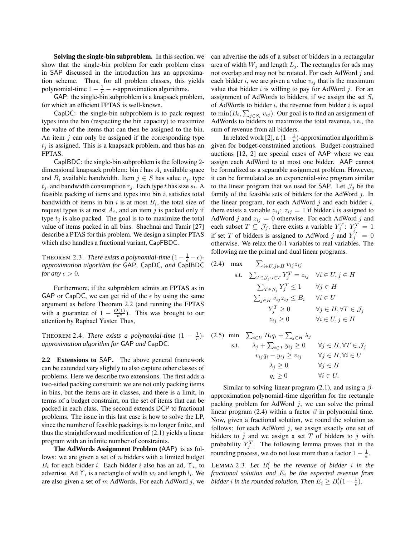**Solving the single-bin subproblem.** In this section, we show that the single-bin problem for each problem class in SAP discussed in the introduction has an approximation scheme. Thus, for all problem classes, this yields polynomial-time  $1 - \frac{1}{e} - \epsilon$ -approximation algorithms.

GAP: the single-bin subproblem is a knapsack problem, for which an efficient FPTAS is well-known.

CapDC: the single-bin subproblem is to pack request types into the bin (respecting the bin capacity) to maximize the value of the items that can then be assigned to the bin. An item  $j$  can only be assigned if the corresponding type  $t_i$  is assigned. This is a knapsack problem, and thus has an FPTAS.

CapIBDC: the single-bin subproblem is the following 2 dimensional knapsack problem: bin i has  $A_i$  available space and  $B_i$  available bandwidth. Item  $j \in S$  has value  $v_j$ , type  $t_j$ , and bandwidth consumption  $r_j$ . Each type t has size  $s_t$ . A feasible packing of items and types into bin  $i$ , satisfies total bandwidth of items in bin i is at most  $B_i$ , the total size of request types is at most  $A_i$ , and an item j is packed only if type  $t_i$  is also packed. The goal is to to maximize the total value of items packed in all bins. Shachnai and Tamir [27] describe a PTAS for this problem. We design a simpler PTAS which also handles a fractional variant, CapFBDC.

THEOREM 2.3. *There exists a polynomial-time*  $(1 - \frac{1}{e} - \epsilon)$ *approximation algorithm for* GAP*,* CapDC*, and* CapIBDC *for any*  $\epsilon > 0$ *.* 

Furthermore, if the subproblem admits an FPTAS as in GAP or CapDC, we can get rid of the  $\epsilon$  by using the same argument as before Theorem 2.2 (and running the FPTAS with a guarantee of  $1 - \frac{O(1)}{n^2}$ ). This was brought to our attention by Raphael Yuster. Thus,

THEOREM 2.4. *There exists a polynomial-time*  $(1 - \frac{1}{e})$ *approximation algorithm for* GAP *and* CapDC*.*

**2.2 Extensions to** SAP**.** The above general framework can be extended very slightly to also capture other classes of problems. Here we describe two extensions. The first adds a two-sided packing constraint: we are not only packing items in bins, but the items are in classes, and there is a limit, in terms of a budget constraint, on the set of items that can be packed in each class. The second extends DCP to fractional problems. The issue in this last case is how to solve the LP, since the number of feasible packings is no longer finite, and thus the straightforward modification of (2.1) yields a linear program with an infinite number of constraints.

**The AdWords Assignment Problem (**AAP**)** is as follows: we are given a set of  $n$  bidders with a limited budget  $B_i$  for each bidder i. Each bidder i also has an ad,  $\Upsilon_i$ , to advertise. Ad  $\Upsilon_i$  is a rectangle of width  $w_i$  and length  $l_i$ . We are also given a set of  $m$  AdWords. For each AdWord  $j$ , we can advertise the ads of a subset of bidders in a rectangular area of width  $W_i$  and length  $L_i$ . The rectangles for ads may not overlap and may not be rotated. For each AdWord  $j$  and each bidder i, we are given a value  $v_{ij}$  that is the maximum value that bidder  $i$  is willing to pay for AdWord  $j$ . For an assignment of AdWords to bidders, if we assign the set  $S_i$ of AdWords to bidder  $i$ , the revenue from bidder  $i$  is equal to  $\min(B_i, \sum_{j \in S_i} v_{ij})$ . Our goal is to find an assignment of AdWords to bidders to maximize the total revenue, i.e., the sum of revenue from all bidders.

In related work [2], a  $(1 - \frac{1}{e})$ -approximation algorithm is given for budget-constrained auctions. Budget-constrained auctions [12, 2] are special cases of AAP where we can assign each AdWord to at most one bidder. AAP cannot be formalized as a separable assignment problem. However, it can be formulated as an exponential-size program similar to the linear program that we used for SAP. Let  $\mathcal{J}_j$  be the family of the feasible sets of bidders for the AdWord  $i$ . In the linear program, for each AdWord  $j$  and each bidder  $i$ , there exists a variable  $z_{ij}$ :  $z_{ij} = 1$  if bidder i is assigned to AdWord j and  $z_{ij} = 0$  otherwise. For each AdWord j and each subset  $T \subseteq \mathcal{J}_j$ , there exists a variable  $Y_j^T: Y_j^T = 1$ if set T of bidders is assigned to AdWord j and  $Y_j^T = 0$ otherwise. We relax the 0-1 variables to real variables. The following are the primal and dual linear programs.

(2.4) max 
$$
\sum_{i \in U, j \in H} v_{ij} z_{ij}
$$
  
s.t. 
$$
\sum_{T \in \mathcal{J}_j : i \in T} Y_j^T = z_{ij} \quad \forall i \in U, j \in H
$$

$$
\sum_{T \in \mathcal{J}_j} Y_j^T \le 1 \qquad \forall j \in H
$$

$$
\sum_{j \in H} v_{ij} z_{ij} \le B_i \qquad \forall i \in U
$$

$$
Y_j^T \ge 0 \qquad \forall j \in H, \forall T \in \mathcal{J}_j
$$

$$
z_{ij} \ge 0 \qquad \forall i \in U, j \in H
$$

(2.5) min 
$$
\sum_{i \in U} B_i q_i + \sum_{j \in H} \lambda_j
$$
  
s.t. 
$$
\lambda_j + \sum_{i \in T} y_{ij} \ge 0 \quad \forall j \in H, \forall T \in \mathcal{J}_j
$$

$$
v_{ij} q_i - y_{ij} \ge v_{ij} \quad \forall j \in H, \forall i \in U
$$

$$
\lambda_j \ge 0 \quad \forall j \in H
$$

$$
q_i \ge 0 \quad \forall i \in U.
$$

Similar to solving linear program (2.1), and using a  $\beta$ approximation polynomial-time algorithm for the rectangle packing problem for AdWord  $j$ , we can solve the primal linear program (2.4) within a factor  $\beta$  in polynomial time. Now, given a fractional solution, we round the solution as follows: for each AdWord  $j$ , we assign exactly one set of bidders to  $j$  and we assign a set  $T$  of bidders to  $j$  with probability  $Y_j^T$ . The following lemma proves that in the rounding process, we do not lose more than a factor  $1 - \frac{1}{e}$ .

LEMMA 2.3. Let  $B_i'$  be the revenue of bidder i in the *fractional solution and* E<sup>i</sup> *be the expected revenue from bidder i* in the rounded solution. Then  $E_i \geq B_i'(1 - \frac{1}{e})$ .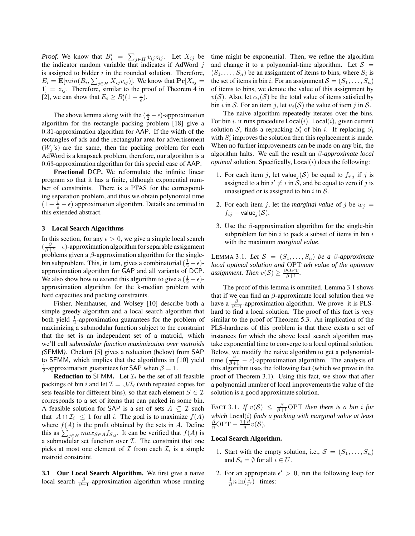*Proof.* We know that  $B'_i = \sum_{j \in H} v_{ij} z_{ij}$ . Let  $X_{ij}$  be the indicator random variable that indicates if AdWord  $j$ is assigned to bidder  $i$  in the rounded solution. Therefore,  $E_i = \mathbf{E}[min(B_i, \sum_{j \in H} X_{ij} v_{ij})]$ . We know that  $\mathbf{Pr}[X_{ij} =$  $[1] = z_{ij}$ . Therefore, similar to the proof of Theorem 4 in [2], we can show that  $E_i \geq B_i'(1 - \frac{1}{e})$ .

The above lemma along with the  $(\frac{1}{2} - \epsilon)$ -approximation algorithm for the rectangle packing problem [18] give a 0.31-approximation algorithm for AAP. If the width of the rectangles of ads and the rectangular area for advertisement  $(W_i)$  is) are the same, then the packing problem for each AdWord is a knapsack problem, therefore, our algorithm is a 0.63-approximation algorithm for this special case of AAP.

**Fractional** DCP**.** We reformulate the infinite linear program so that it has a finite, although exponential number of constraints. There is a PTAS for the corresponding separation problem, and thus we obtain polynomial time  $(1 - \frac{1}{e} - \epsilon)$  approximation algorithm. Details are omitted in this extended abstract.

## **3 Local Search Algorithms**

In this section, for any  $\epsilon > 0$ , we give a simple local search  $\left(\frac{\beta}{\beta+1}-\epsilon\right)$ -approximation algorithm for separable assignment problems given a  $\beta$ -approximation algorithm for the singlebin subproblem. This, in turn, gives a combinatorial  $(\frac{1}{2} - \epsilon)$ approximation algorithm for GAP and all variants of DCP. We also show how to extend this algorithm to give a  $(\frac{1}{2} - \epsilon)$ approximation algorithm for the k-median problem with hard capacities and packing constraints.

Fisher, Nemhauser, and Wolsey [10] describe both a simple greedy algorithm and a local search algorithm that both yield  $\frac{1}{2}$ -approximation guarantees for the problem of maximizing a submodular function subject to the constraint that the set is an independent set of a matroid, which we'll call *submodular function maximization over matroids (*SFMM*)*. Chekuri [5] gives a reduction (below) from SAP to SFMM, which implies that the algorithms in [10] yield  $\frac{1}{2}$ -approximation guarantees for SAP when  $\beta = 1$ .

**Reduction to** SFMM. Let  $\mathcal{I}_i$  be the set of all feasible packings of bin i and let  $\mathcal{I} = \cup_i \mathcal{I}_i$  (with repeated copies for sets feasible for different bins), so that each element  $S \in \mathcal{I}$ corresponds to a set of items that can packed in some bin. A feasible solution for SAP is a set of sets  $A \subseteq \mathcal{I}$  such that  $|A \cap \mathcal{I}_i| \leq 1$  for all i. The goal is to maximize  $f(A)$ where  $f(A)$  is the profit obtained by the sets in A. Define this as  $\sum_{j \in H} max_{S \in A} f_{S,j}$ . It can be verified that  $f(A)$  is a submodular set function over  $I$ . The constraint that one picks at most one element of  $\mathcal I$  from each  $\mathcal I_i$  is a simple matroid constraint.

**3.1 Our Local Search Algorithm.** We first give a naive local search  $\frac{\beta}{\beta+1}$ -approximation algorithm whose running time might be exponential. Then, we refine the algorithm and change it to a polynomial-time algorithm. Let  $S =$  $(S_1, \ldots, S_n)$  be an assignment of items to bins, where  $S_i$  is the set of items in bin i. For an assignment  $S = (S_1, \ldots, S_n)$ of items to bins, we denote the value of this assignment by  $v(S)$ . Also, let  $\alpha_i(S)$  be the total value of items satisfied by bin i in S. For an item j, let  $v_i(S)$  the value of item j in S.

The naive algorithm repeatedly iterates over the bins. For bin i, it runs procedure  $Local(i)$ .  $Local(i)$ , given current solution S, finds a repacking  $S_i'$  of bin i. If replacing  $S_i$ with  $S_i'$  improves the solution then this replacement is made. When no further improvements can be made on any bin, the algorithm halts. We call the result an β*-approximate local*  $optimal$  solution. Specifically,  $Local(i)$  does the following:

- 1. For each item j, let value<sub>j</sub> $(S)$  be equal to  $f_{i'j}$  if j is assigned to a bin  $i' \neq i$  in S, and be equal to zero if j is unassigned or is assigned to bin i in  $S$ .
- 2. For each item j, let the *marginal value* of j be  $w_i =$  $f_{ij}$  – value $_i(\mathcal{S})$ .
- 3. Use the  $\beta$ -approximation algorithm for the single-bin subproblem for bin  $i$  to pack a subset of items in bin  $i$ with the maximum *marginal value*.

LEMMA 3.1. Let  $S = (S_1, \ldots, S_n)$  be a  $\beta$ -approximate *local optimal solution and* OPT *teh value of the optimum assignment. Then*  $v(S) \ge \frac{\beta \text{OPT}}{\beta+1}$ .

The proof of this lemma is ommited. Lemma 3.1 shows that if we can find an  $\beta$ -approximate local solution then we have a  $\frac{\beta}{\beta+1}$ -approximation algorithm. We prove it is PLShard to find a local solution. The proof of this fact is very similar to the proof of Theorem 5.3. An implication of the PLS-hardness of this problem is that there exists a set of instances for which the above local search algorithm may take exponential time to converge to a local optimal solution. Below, we modify the naive algorithm to get a polynomialtime  $(\frac{\beta}{\beta+1} - \epsilon)$ -approximation algorithm. The analysis of this algorithm uses the following fact (which we prove in the proof of Theorem 3.1). Using this fact, we show that after a polynomial number of local improvements the value of the solution is a good approximate solution.

FACT 3.1. If  $v(S) \le \frac{\beta}{\beta+1}$ OPT then there is a bin i for *which* Local(*i*) *finds a packing with marginal value at least*  $\frac{\beta}{n}$ OPT  $-\frac{1+\beta}{n}v(S)$ *.* 

#### **Local Search Algorithm.**

- 1. Start with the empty solution, i.e.,  $S = (S_1, \ldots, S_n)$ and  $S_i = \emptyset$  for all  $i \in U$ .
- 2. For an appropriate  $\epsilon' > 0$ , run the following loop for  $\frac{1}{\beta}n\ln(\frac{1}{\epsilon'})$  times: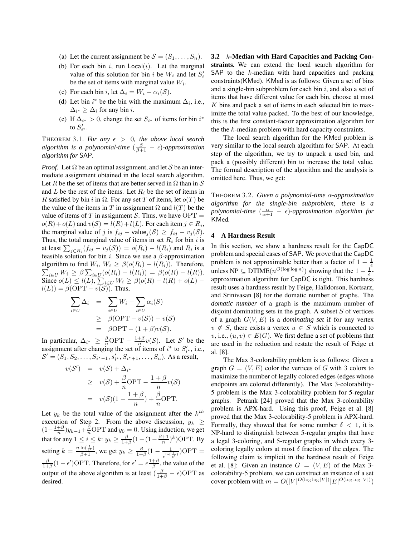- (a) Let the current assignment be  $S = (S_1, \ldots, S_n)$ .
- (b) For each bin  $i$ , run Local $(i)$ . Let the marginal value of this solution for bin i be  $W_i$  and let  $S_i'$ be the set of items with marginal value  $W_i$ .
- (c) For each bin i, let  $\Delta_i = W_i \alpha_i(\mathcal{S})$ .
- (d) Let bin  $i^*$  be the bin with the maximum  $\Delta_i$ , i.e.,  $\Delta_{i^*} \geq \Delta_i$  for any bin *i*.
- (e) If  $\Delta_{i^*} > 0$ , change the set  $S_{i^*}$  of items for bin  $i^*$ to  $S'_{i^*}$ .

THEOREM 3.1. For any  $\epsilon > 0$ , the above local search *algorithm is a polynomial-time*  $\left(\frac{\beta}{\beta+1} - \epsilon\right)$ -approximation *algorithm for* SAP*.*

*Proof.* Let  $\Omega$  be an optimal assignment, and let S be an intermediate assignment obtained in the local search algorithm. Let R be the set of items that are better served in  $\Omega$  than in S and  $L$  be the rest of the items. Let  $R_i$  be the set of items in R satisfied by bin i in  $\Omega$ . For any set T of items, let  $o(T)$  be the value of the items in T in assignment  $\Omega$  and  $l(T)$  be the value of items of T in assignment S. Thus, we have  $\text{OPT} =$  $o(R) + o(L)$  and  $v(S) = l(R) + l(L)$ . For each item  $j \in R_i$ , the marginal value of j is  $f_{ij}$  – value $_j(\mathcal{S}) \geq f_{ij} - v_j(\mathcal{S})$ . Thus, the total marginal value of items in set  $R_i$  for bin i is at least  $\sum_{j \in R_i} (f_{ij} - v_j(\mathcal{S})) = o(R_i) - l(R_i)$  and  $R_i$  is a feasible solution for bin i. Since we use a  $\beta$ -approximation algorithm to find  $W_i$ ,  $W_i \geq \beta(o(R_i) - l(R_i))$ . Therefore, algorithm to find  $W_i$ ,  $W_i \ge \beta(o(R_i) - l(R_i))$ . Therefore,<br>  $\sum_{i \in U} W_i \ge \beta \sum_{i \in U} (o(R_i) - l(R_i)) = \beta(o(R) - l(R))$ . Since  $o(L) \le l(L)$ ,  $\sum_{i \in U} W_i \ge \beta(o(R) - l(R) + o(L)$  $l(L) = \beta(\text{OPT} - v(\mathcal{S}))$ . Thus,

$$
\sum_{i \in U} \Delta_i = \sum_{i \in U} W_i - \sum_{i \in U} \alpha_i(S)
$$
  
\n
$$
\geq \beta(\text{OPT} - v(S)) - v(S)
$$
  
\n
$$
= \beta \text{OPT} - (1 + \beta)v(S).
$$

In particular,  $\Delta_{i^*} \geq \frac{\beta}{n} \text{OPT} - \frac{1+\beta}{n} v(\mathcal{S})$ . Let  $\mathcal{S}'$  be the assignment after changing the set of items of  $i^*$  to  $S'_{i^*}$ , i.e.,  $S' = (S_1, S_2, \ldots, S_{i^*-1}, s'_{i^*}, S_{i^*+1}, \ldots, S_n)$ . As a result,

$$
v(S') = v(S) + \Delta_{i^*}
$$
  
\n
$$
\geq v(S) + \frac{\beta}{n} \text{OPT} - \frac{1+\beta}{n} v(S)
$$
  
\n
$$
= v(S)(1 - \frac{1+\beta}{n}) + \frac{\beta}{n} \text{OPT}.
$$

Let  $y_k$  be the total value of the assignment after the  $k^{th}$ execution of Step 2. From the above discussion,  $y_k \geq$  $(1-\frac{1+\beta}{n})y_{k-1}+\frac{\beta}{n}$ OPT and  $y_0=0$ . Using induction, we get that for any  $1 \leq i \leq k$ :  $y_k \geq \frac{\beta}{1+\beta}(1-(1-\frac{\beta+1}{n})^k)$ OPT. By setting  $k = \frac{n \ln(\frac{1}{\epsilon'})}{\beta + 1}$ , we get  $y_k \ge \frac{\beta}{1 + \beta} (1 - \frac{1}{\ln(\frac{1}{\epsilon})})$  $\frac{1}{e^{\ln(\frac{1}{\epsilon'})}}$ )OPT =  $\frac{\beta}{1+\beta}(1-\epsilon')$ OPT. Therefore, for  $\epsilon' = \epsilon \frac{1+\beta}{\beta}$ , the value of the output of the above algorithm is at least  $(\frac{\beta}{1+\beta} - \epsilon)$ OPT as desired.

**3.2** k**-Median with Hard Capacities and Packing Constraints.** We can extend the local search algorithm for SAP to the k-median with hard capacities and packing constraints(KMed). KMed is as follows: Given a set of bins and a single-bin subproblem for each bin  $i$ , and also a set of items that have different value for each bin, choose at most K bins and pack a set of items in each selected bin to maximize the total value packed. To the best of our knowledge, this is the first constant-factor approximation algorithm for the the k-median problem with hard capacity constraints.

The local search algorithm for the KMed problem is very similar to the local search algorithm for SAP. At each step of the algorithm, we try to unpack a used bin, and pack a (possibly different) bin to increase the total value. The formal description of the algorithm and the analysis is omitted here. Thus, we get:

THEOREM 3.2. *Given a polynomial-time* α*-approximation algorithm for the single-bin subproblem, there is a*  $p$ *olynomial-time*  $\left(\frac{\alpha}{\alpha+1} - \epsilon\right)$ -approximation algorithm for KMed*.*

#### **4 A Hardness Result**

In this section, we show a hardness result for the CapDC problem and special cases of SAP. We prove that the CapDC problem is not approximable better than a factor of  $1 - \frac{1}{e}$ unless NP  $\subseteq$  DTIME $(n^{O(\log \log n)})$  showing that the  $1 - \frac{1}{e}$ approximation algorithm for CapDC is tight. This hardness result uses a hardness result by Feige, Halldorson, Kortsarz, and Srinivasan [8] for the domatic number of graphs. The *domatic number* of a graph is the maximum number of disjoint dominating sets in the graph. A subset  $S$  of vertices of a graph  $G(V, E)$  is a *dominating set* if for any vertex  $v \notin S$ , there exists a vertex  $u \in S$  which is connected to v, i.e.,  $(u, v) \in E(G)$ . We first define a set of problems that are used in the reduction and restate the result of Feige et al. [8].

The Max 3-colorability problem is as follows: Given a graph  $G = (V, E)$  color the vertices of G with 3 colors to maximize the number of legally colored edges (edges whose endpoints are colored differently). The Max 3-colorability-5 problem is the Max 3-colorability problem for 5-regular graphs. Petrank [24] proved that the Max 3-colorability problem is APX-hard. Using this proof, Feige et al. [8] proved that the Max 3-colorability-5 problem is APX-hard. Formally, they showed that for some number  $\delta$  < 1, it is NP-hard to distinguish between 5-regular graphs that have a legal 3-coloring, and 5-regular graphs in which every 3 coloring legally colors at most  $\delta$  fraction of the edges. The following claim is implicit in the hardness result of Feige et al. [8]: Given an instance  $G = (V, E)$  of the Max 3colorability-5 problem, we can construct an instance of a set cover problem with  $m = O(|V|^{O(\log \log |V|)} |E|^{O(\log \log |V|)})$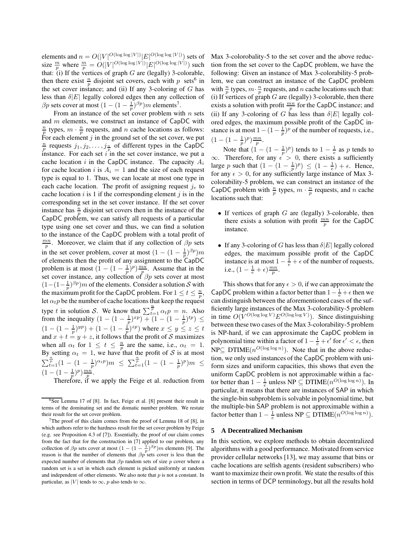elements and  $n = O(|V|^{O(\log \log |V|)} |E|^{O(\log \log |V|)})$  sets of size  $\frac{m}{p}$  where  $\frac{m}{p} = O(|V|^{O(\log \log |V|)} |E|^{O(\log \log |V|)})$  such that: (i) If the vertices of graph  $G$  are (legally) 3-colorable, then there exist  $\frac{n}{p}$  disjoint set covers, each with p sets<sup>6</sup> in the set cover instance; and (ii) If any 3-coloring of  $G$  has less than  $\delta |E|$  legally colored edges then any collection of  $\beta p$  sets cover at most  $(1 - (1 - \frac{1}{p})^{\beta p})m$  elements<sup>7</sup>.

From an instance of the set cover problem with  $n$  sets and m elements, we construct an instance of CapDC with  $\frac{n}{p}$  types,  $m \cdot \frac{n}{p}$  requests, and n cache locations as follows: For each element  $j$  in the ground set of the set cover, we put  $\frac{n}{p}$  requests  $j_1, j_2, \ldots, j_{\frac{n}{p}}$  of different types in the CapDC instance. For each set  $i$  in the set cover instance, we put a cache location i in the CapDC instance. The capacity  $A_i$ for cache location i is  $A_i = 1$  and the size of each request type is equal to 1. Thus, we can locate at most one type in each cache location. The profit of assigning request  $j_e$  to cache location  $i$  is 1 if the corresponding element  $j$  is in the corresponding set in the set cover instance. If the set cover instance has  $\frac{n}{p}$  disjoint set covers then in the instance of the CapDC problem, we can satisfy all requests of a particular type using one set cover and thus, we can find a solution to the instance of the CapDC problem with a total profit of  $\frac{mn}{p}$ . Moreover, we claim that if any collection of  $\beta p$  sets in the set cover problem, cover at most  $(1 - (1 - \frac{1}{n})^{\beta p})m$ of elements then the profit of any assignment to the CapDC problem is at most  $(1 - (1 - \frac{1}{p})^p) \frac{mn}{p}$ . Assume that in the set cover instance, any collection of  $\beta p$  sets cover at most  $(1-(1-\frac{1}{p})^{\beta p})m$  of the elements. Consider a solution S with the maximum profit for the CapDC problem. For  $1 \le t \le \frac{n}{p}$ , let  $\alpha_t p$  be the number of cache locations that keep the request type t in solution S. We know that  $\sum_{t=1}^{\frac{n}{p}} \alpha_t p = n$ . Also from the inequality  $(1 - (1 - \frac{1}{p})^{xp}) + (1 - (1 - \frac{1}{p})^{tp}) \le$  $(1 - (1 - \frac{1}{p})^{yp}) + (1 - (1 - \frac{1}{p})^{zp})$  where  $x \le y \le z \le t$ and  $x + t = y + z$ , it follows that the profit of S maximizes when all  $\alpha_t$  for  $1 \leq t \leq \frac{n}{p}$  are the same, i.e.,  $\alpha_t = 1$ . By setting  $\alpha_t = 1$ , we have that the profit of S is at most  $\sum_{t=1}^{\frac{n}{p}}(1-(1-\frac{1}{p})^{\alpha_t p})m \leq \sum_{t=1}^{\frac{n}{p}}(1-(1-\frac{1}{p})^p)m \leq$  $(1-(1-\frac{1}{p})^p)\frac{mn}{p}.$ 

Therefore, if we apply the Feige et al. reduction from

Max 3-colorobality-5 to the set cover and the above reduction from the set cover to the CapDC problem, we have the following: Given an instance of Max 3-colorability-5 problem, we can construct an instance of the CapDC problem with  $\frac{n}{p}$  types,  $m \cdot \frac{n}{p}$  requests, and n cache locations such that: (i) If vertices of graph  $G$  are (legally) 3-colorable, then there exists a solution with profit  $\frac{mn}{p}$  for the CapDC instance; and (ii) If any 3-coloring of G has less than  $\delta |E|$  legally colored edges, the maximum possible profit of the CapDC instance is at most  $1 - (1 - \frac{1}{p})^p$  of the number of requests, i.e.,  $(1-(1-\frac{1}{p})^p)\frac{mn}{p}.$ 

Note that  $(1 - (1 - \frac{1}{p})^p)$  tends to  $1 - \frac{1}{e}$  as p tends to  $\infty$ . Therefore, for any  $\epsilon > 0$ , there exists a sufficiently large p such that  $(1 - (1 - \frac{1}{p})^p) \le (1 - \frac{1}{e}) + \epsilon$ . Hence, for any  $\epsilon > 0$ , for any sufficiently large instance of Max 3colorability-5 problem, we can construct an instance of the CapDC problem with  $\frac{n}{p}$  types,  $m \cdot \frac{n}{p}$  requests, and n cache locations such that:

- If vertices of graph  $G$  are (legally) 3-colorable, then there exists a solution with profit  $\frac{mn}{p}$  for the CapDC instance.
- If any 3-coloring of G has less than  $\delta |E|$  legally colored edges, the maximum possible profit of the CapDC instance is at most  $1 - \frac{1}{e} + \epsilon$  of the number of requests, i.e.,  $(1-\frac{1}{e}+\epsilon)\frac{mn}{p}$ .

This shows that for any  $\epsilon > 0$ , if we can approximate the CapDC problem within a factor better than  $1 - \frac{1}{e} + \epsilon$  then we can distinguish between the aforementioned cases of the sufficiently large instances of the Max 3-colorability-5 problem in time  $O(V^{O(\log \log V)} E^{O(\log \log V)})$ . Since distinguishing between these two cases of the Max 3-colorability-5 problem is NP-hard, if we can approximate the CapDC problem in polynomial time within a factor of  $1 - \frac{1}{e} + \epsilon'$  for  $\epsilon' < \epsilon$ , then  $NP \subseteq DTIME(n^{O(\log \log n)})$ . Note that in the above reduction, we only used instances of the CapDC problem with uniform sizes and uniform capacities, this shows that even the uniform CapDC problem is not approximable within a factor better than  $1 - \frac{1}{e}$  unless  $NP \subseteq DTIME(n^{O(\log \log n)})$ . In particular, it means that there are instances of SAP in which the single-bin subproblem is solvable in polynomial time, but the multiple-bin SAP problem is not approximable within a factor better than  $1 - \frac{1}{e}$  unless  $NP \subseteq DTIME(n^{O(\log \log n)})$ .

#### **5 A Decentralized Mechanism**

In this section, we explore methods to obtain decentralized algorithms with a good performance. Motivated from service provider cellular networks [13], we may assume that bins or cache locations are selfish agents (resident subscribers) who want to maximize their own profit. We state the results of this section in terms of DCP terminology, but all the results hold

<sup>&</sup>lt;sup>6</sup>See Lemma 17 of [8]. In fact, Feige et al. [8] present their result in terms of the dominating set and the domatic number problem. We restate their result for the set cover problem.

<sup>&</sup>lt;sup>7</sup>The proof of this claim comes from the proof of Lemma 18 of [8], in which authors refer to the hardness result for the set cover problem by Feige (e.g. see Proposition 4.3 of [7]). Essentially, the proof of our claim comes from the fact that for the construction in [7] applied to our problem, any collection of  $\beta p$  sets cover at most  $(1 - (1 - \frac{1}{p})^{\beta p})m$  elements [9]. The reason is that the number of elements that  $\beta p$  sets cover is less than the expected number of elements that  $\beta p$  random sets of size p cover where a random set is a set in which each element is picked uniformly at random and independent of other elements. We also note that  $p$  is not a constant. In particular, as |V| tends to  $\infty$ , p also tends to  $\infty$ .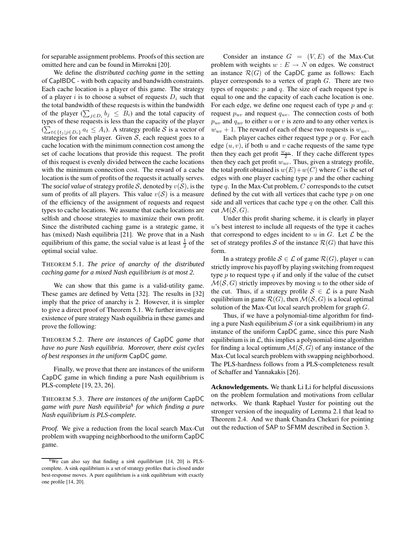for separable assignment problems. Proofs of this section are omitted here and can be found in Mirrokni [20].

We define the *distributed caching game* in the setting of CapIBDC - with both capacity and bandwidth constraints. Each cache location is a player of this game. The strategy of a player i is to choose a subset of requests  $D_i$  such that the total bandwidth of these requests is within the bandwidth of the player  $(\sum_{j \in D_i} b_j \leq B_i)$  and the total capacity of types of these requests is less than the capacity of the player  $(\sum_{t \in \{t_j | j \in D_i\}} a_t \leq A_i)$ . A strategy profile S is a vector of strategies for each player. Given  $S$ , each request goes to a cache location with the minimum connection cost among the set of cache locations that provide this request. The profit of this request is evenly divided between the cache locations with the minimum connection cost. The reward of a cache location is the sum of profits of the requests it actually serves. The *social value* of strategy profile S, denoted by  $v(S)$ , is the sum of profits of all players. This value  $v(S)$  is a measure of the efficiency of the assignment of requests and request types to cache locations. We assume that cache locations are selfish and choose strategies to maximize their own profit. Since the distributed caching game is a strategic game, it has (mixed) Nash equilibria [21]. We prove that in a Nash equilibrium of this game, the social value is at least  $\frac{1}{2}$  of the optimal social value.

# THEOREM 5.1. *The price of anarchy of the distributed caching game for a mixed Nash equilibrium is at most 2.*

We can show that this game is a valid-utility game. These games are defined by Vetta [32]. The results in [32] imply that the price of anarchy is 2. However, it is simpler to give a direct proof of Theorem 5.1. We further investigate existence of pure strategy Nash equilibria in these games and prove the following:

THEOREM 5.2. *There are instances of* CapDC *game that have no pure Nash equilibria. Moreover, there exist cycles of best responses in the uniform* CapDC *game.*

Finally, we prove that there are instances of the uniform CapDC game in which finding a pure Nash equilibrium is PLS-complete [19, 23, 26].

THEOREM 5.3. *There are instances of the uniform* CapDC *game with pure Nash equilibria*<sup>8</sup> *for which finding a pure Nash equilibrium is PLS-complete.*

*Proof.* We give a reduction from the local search Max-Cut problem with swapping neighborhood to the uniform CapDC game.

Consider an instance  $G = (V, E)$  of the Max-Cut problem with weights  $w : E \to N$  on edges. We construct an instance  $\mathcal{R}(G)$  of the CapDC game as follows: Each player corresponds to a vertex of graph  $G$ . There are two types of requests:  $p$  and  $q$ . The size of each request type is equal to one and the capacity of each cache location is one. For each edge, we define one request each of type  $p$  and  $q$ : request  $p_{uv}$  and request  $q_{uv}$ . The connection costs of both  $p_{uv}$  and  $q_{uv}$  to either u or v is zero and to any other vertex is  $w_{uv} + 1$ . The reward of each of these two requests is  $w_{uv}$ .

Each player caches either request type  $p$  or  $q$ . For each edge  $(u, v)$ , if both u and v cache requests of the same type then they each get profit  $\frac{w_{uv}}{2}$ . If they cache different types then they each get profit  $w_{uv}$ . Thus, given a strategy profile, the total profit obtained is  $w(E)+w(C)$  where C is the set of edges with one player caching type  $p$  and the other caching type  $q$ . In the Max-Cut problem,  $C$  corresponds to the cutset defined by the cut with all vertices that cache type p on one side and all vertices that cache type  $q$  on the other. Call this cut  $\mathcal{M}(\mathcal{S}, G)$ .

Under this profit sharing scheme, it is clearly in player u's best interest to include all requests of the type it caches that correspond to edges incident to  $u$  in  $G$ . Let  $\mathcal L$  be the set of strategy profiles S of the instance  $\mathcal{R}(G)$  that have this form.

In a strategy profile  $S \in \mathcal{L}$  of game  $\mathcal{R}(G)$ , player u can strictly improve his payoff by playing switching from request type  $p$  to request type  $q$  if and only if the value of the cutset  $\mathcal{M}(\mathcal{S}, G)$  strictly improves by moving u to the other side of the cut. Thus, if a strategy profile  $S \in \mathcal{L}$  is a pure Nash equilibrium in game  $\mathcal{R}(G)$ , then  $\mathcal{M}(\mathcal{S}, G)$  is a local optimal solution of the Max-Cut local search problem for graph G.

Thus, if we have a polynomial-time algorithm for finding a pure Nash equilibrium  $S$  (or a sink equilibrium) in any instance of the uniform CapDC game, since this pure Nash equilibrium is in  $\mathcal{L}$ , this implies a polynomial-time algorithm for finding a local optimum  $\mathcal{M}(\mathcal{S}, G)$  of any instance of the Max-Cut local search problem with swapping neighborhood. The PLS-hardness follows from a PLS-completeness result of Schaffer and Yannakakis [26].

**Acknowledgements.** We thank Li Li for helpful discussions on the problem formulation and motivations from cellular networks. We thank Raphael Yuster for pointing out the stronger version of the inequality of Lemma 2.1 that lead to Theorem 2.4. And we thank Chandra Chekuri for pointing out the reduction of SAP to SFMM described in Section 3.

<sup>8</sup>We can also say that finding a *sink equilibrium* [14, 20] is PLScomplete. A sink equilibrium is a set of strategy profiles that is closed under best-response moves. A pure equilibrium is a sink equilibrium with exactly one profile [14, 20].